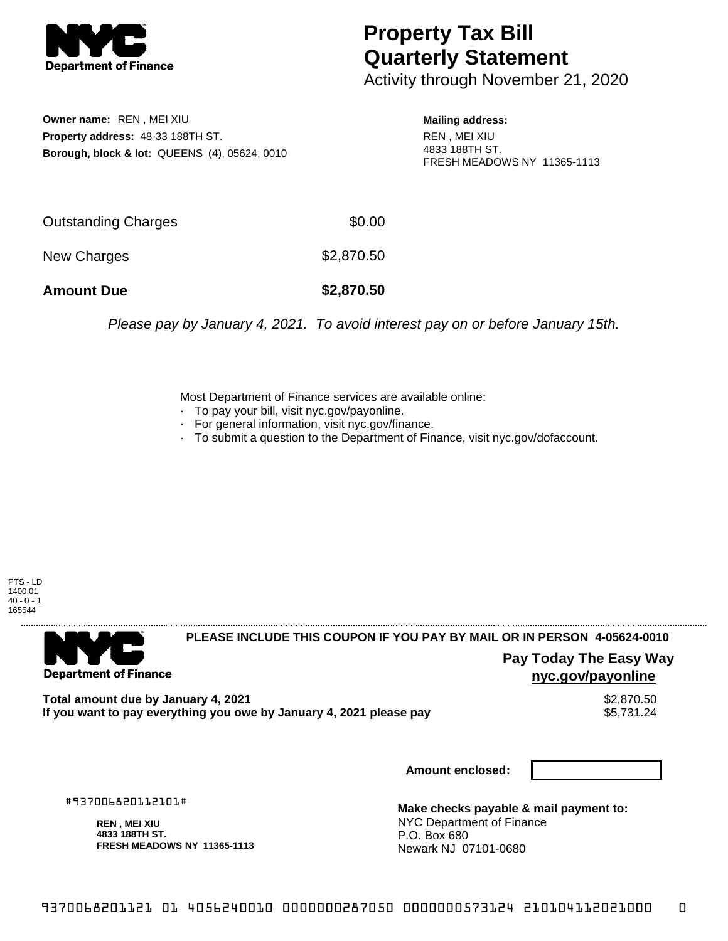

## **Property Tax Bill Quarterly Statement**

Activity through November 21, 2020

**Owner name:** REN , MEI XIU **Property address:** 48-33 188TH ST. **Borough, block & lot:** QUEENS (4), 05624, 0010 **Mailing address:**

REN , MEI XIU 4833 188TH ST. FRESH MEADOWS NY 11365-1113

| <b>Amount Due</b>   | \$2,870.50 |
|---------------------|------------|
| New Charges         | \$2,870.50 |
| Outstanding Charges | \$0.00     |

Please pay by January 4, 2021. To avoid interest pay on or before January 15th.

Most Department of Finance services are available online:

- · To pay your bill, visit nyc.gov/payonline.
- For general information, visit nyc.gov/finance.
- · To submit a question to the Department of Finance, visit nyc.gov/dofaccount.

PTS - LD 1400.01  $40 - 0 - 1$ 165544



**PLEASE INCLUDE THIS COUPON IF YOU PAY BY MAIL OR IN PERSON 4-05624-0010** 

**Pay Today The Easy Way nyc.gov/payonline**

Total amount due by January 4, 2021<br>If you want to pay everything you owe by January 4, 2021 please pay **ship want to pay everything you owe by Janu** If you want to pay everything you owe by January 4, 2021 please pay

**Amount enclosed:**

#937006820112101#

**REN , MEI XIU 4833 188TH ST. FRESH MEADOWS NY 11365-1113**

**Make checks payable & mail payment to:** NYC Department of Finance P.O. Box 680 Newark NJ 07101-0680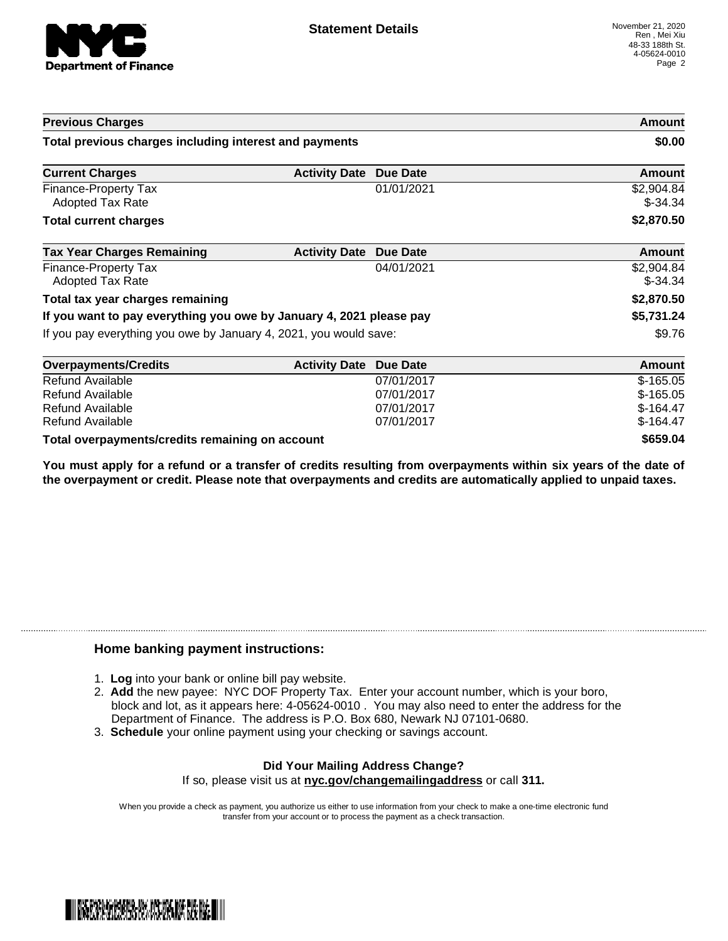

| <b>Previous Charges</b>                                             |                      | Amount<br>\$0.00 |                         |
|---------------------------------------------------------------------|----------------------|------------------|-------------------------|
| Total previous charges including interest and payments              |                      |                  |                         |
| <b>Current Charges</b>                                              | <b>Activity Date</b> | <b>Due Date</b>  | Amount                  |
| Finance-Property Tax<br><b>Adopted Tax Rate</b>                     |                      | 01/01/2021       | \$2,904.84<br>$$-34.34$ |
| <b>Total current charges</b>                                        |                      |                  | \$2,870.50              |
| <b>Tax Year Charges Remaining</b>                                   | <b>Activity Date</b> | <b>Due Date</b>  | <b>Amount</b>           |
| Finance-Property Tax<br><b>Adopted Tax Rate</b>                     |                      | 04/01/2021       | \$2,904.84<br>$$-34.34$ |
| Total tax year charges remaining                                    |                      |                  | \$2,870.50              |
| If you want to pay everything you owe by January 4, 2021 please pay |                      |                  | \$5,731.24              |
| If you pay everything you owe by January 4, 2021, you would save:   |                      |                  | \$9.76                  |
| <b>Overpayments/Credits</b>                                         | <b>Activity Date</b> | <b>Due Date</b>  | Amount                  |
| Refund Available                                                    |                      | 07/01/2017       | $$-165.05$              |
| Refund Available                                                    |                      | 07/01/2017       | $$-165.05$              |

**Total overpayments/credits remaining on account \$659.04**

You must apply for a refund or a transfer of credits resulting from overpayments within six years of the date of **the overpayment or credit. Please note that overpayments and credits are automatically applied to unpaid taxes.**

Refund Available 07/01/2017 \$-164.47 Refund Available 6 **164.47** \$-164.47

## **Home banking payment instructions:**

- 1. **Log** into your bank or online bill pay website.
- 2. **Add** the new payee: NYC DOF Property Tax. Enter your account number, which is your boro, block and lot, as it appears here: 4-05624-0010 . You may also need to enter the address for the Department of Finance. The address is P.O. Box 680, Newark NJ 07101-0680.
- 3. **Schedule** your online payment using your checking or savings account.

## **Did Your Mailing Address Change?** If so, please visit us at **nyc.gov/changemailingaddress** or call **311.**

When you provide a check as payment, you authorize us either to use information from your check to make a one-time electronic fund